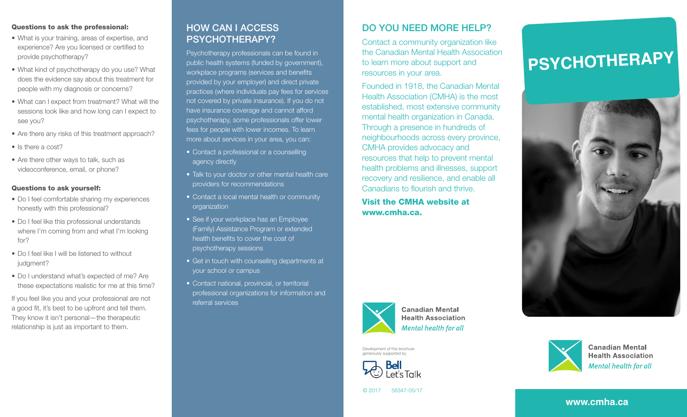#### Questions to ask the professional:

- What is your training, areas of expertise, and experience? Are you licensed or certified to provide psychotherapy?
- What kind of psychotherapy do you use? What does the evidence say about this treatment for people with my diagnosis or concerns?
- What can I expect from treatment? What will the sessions look like and how long can I expect to see you?
- Are there any risks of this treatment approach?
- Is there a cost?
- Are there other ways to talk, such as videoconference, email, or phone?

### Questions to ask yourself:

- Do I feel comfortable sharing my experiences honestly with this professional?
- Do I feel like this professional understands where I'm coming from and what I'm looking for?
- Do I feel like I will be listened to without judgment?
- Do I understand what's expected of me? Are these expectations realistic for me at this time?

If you feel like you and your professional are not a good fit, it's best to be upfront and tell them. They know it isn't personal—the therapeutic relationship is just as important to them.

# HOW CAN I ACCESS PSYCHOTHERAPY?

Psychotherapy professionals can be found in public health systems (funded by government), workplace programs (services and benefits provided by your employer) and direct private practices (where individuals pay fees for services not covered by private insurance). If you do not have insurance coverage and cannot afford psychotherapy, some professionals offer lower fees for people with lower incomes. To learn more about services in your area, you can:

- Contact a professional or a counselling agency directly
- Talk to your doctor or other mental health care providers for recommendations
- Contact a local mental health or community organization
- See if your workplace has an Employee (Family) Assistance Program or extended health benefits to cover the cost of psychotherapy sessions
- Get in touch with counselling departments at your school or campus
- Contact national, provincial, or territorial professional organizations for information and referral services

## DO YOU NEED MORE HELP?

Contact a community organization like the Canadian Mental Health Association to learn more about support and resources in your area.

Founded in 1918, the Canadian Mental Health Association (CMHA) is the most established, most extensive community mental health organization in Canada. Through a presence in hundreds of neighbourhoods across every province, CMHA provides advocacy and resources that help to prevent mental health problems and illnesses, support recovery and resilience, and enable all Canadians to flourish and thrive.

Visit the CMHA website at www.cmha.ca.



**Canadian Mental Health Association Mental health for all** 

Development of this brochure generously supported by



# **PSYCHOTHERAPY**





**Canadian Mental Health Association** Mental health for all

```
© 2017 56347-05/17
```